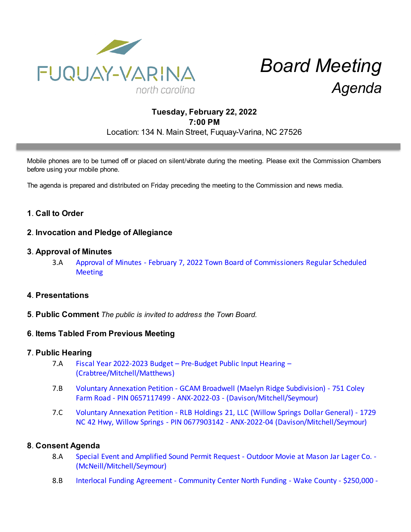

# *Board Meeting Agenda*

# **Tuesday, February 22, 2022 7:00 PM** Location: 134 N. Main Street, Fuquay-Varina, NC 27526

Mobile phones are to be turned off or placed on silent/vibrate during the meeting. Please exit the Commission Chambers before using your mobile phone.

The agenda is prepared and distributed on Friday preceding the meeting to the Commission and news media.

# **1**. **Call to Order**

# **2**. **Invocation and Pledge of Allegiance**

#### **3**. **Approval of Minutes**

3.A [Approval of Minutes - February 7, 2022 Town Board of Commissioners Regular Scheduled](https://d2kbkoa27fdvtw.cloudfront.net/fuquay-varina/ebdd6789544b95a3205f4df69667c9a20.pdf) **[Meeting](https://d2kbkoa27fdvtw.cloudfront.net/fuquay-varina/ebdd6789544b95a3205f4df69667c9a20.pdf)** 

## **4**. **Presentations**

**5**. **Public Comment** *The public is invited to address the Town Board.*

## **6**. **Items Tabled From Previous Meeting**

#### **7**. **Public Hearing**

- 7.A [Fiscal Year 2022-2023 Budget Pre-Budget Public Input Hearing –](https://d2kbkoa27fdvtw.cloudfront.net/fuquay-varina/4c8098351b1338261f3970bb8efaa6ee0.pdf) [\(Crabtree/Mitchell/Matthews\)](https://d2kbkoa27fdvtw.cloudfront.net/fuquay-varina/4c8098351b1338261f3970bb8efaa6ee0.pdf)
- 7.B [Voluntary Annexation Petition GCAM Broadwell \(Maelyn Ridge Subdivision\) 751 Coley](https://d2kbkoa27fdvtw.cloudfront.net/fuquay-varina/43995e1bd1e7b35ecf68b42c157d95460.pdf) [Farm Road - PIN 0657117499 - ANX-2022-03 - \(Davison/Mitchell/Seymour\)](https://d2kbkoa27fdvtw.cloudfront.net/fuquay-varina/43995e1bd1e7b35ecf68b42c157d95460.pdf)
- 7.C [Voluntary Annexation Petition RLB Holdings 21, LLC \(Willow Springs Dollar General\) 1729](https://d2kbkoa27fdvtw.cloudfront.net/fuquay-varina/84627afe798da328170904a9c952d9940.pdf) [NC 42 Hwy, Willow Springs - PIN 0677903142 - ANX-2022-04 \(Davison/Mitchell/Seymour\)](https://d2kbkoa27fdvtw.cloudfront.net/fuquay-varina/84627afe798da328170904a9c952d9940.pdf)

#### **8**. **Consent Agenda**

- 8.A [Special Event and Amplified Sound Permit Request Outdoor Movie at Mason Jar Lager Co. -](https://d2kbkoa27fdvtw.cloudfront.net/fuquay-varina/9c29f23f55833696d5df01c91d084ecd0.pdf) [\(McNeill/Mitchell/Seymour\)](https://d2kbkoa27fdvtw.cloudfront.net/fuquay-varina/9c29f23f55833696d5df01c91d084ecd0.pdf)
- 8.B [Interlocal Funding Agreement Community Center North Funding Wake County \\$250,000 -](https://d2kbkoa27fdvtw.cloudfront.net/fuquay-varina/38dc8e140235860d276fb8ea5b0677270.pdf)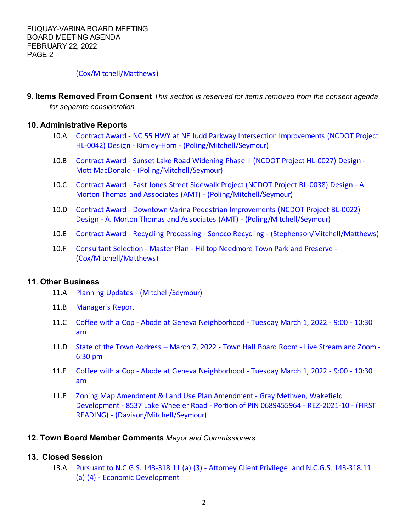## [\(Cox/Mitchell/Matthews\)](https://d2kbkoa27fdvtw.cloudfront.net/fuquay-varina/38dc8e140235860d276fb8ea5b0677270.pdf)

**9**. **Items Removed From Consent** *This section is reserved for items removed from the consent agenda for separate consideration.*

#### **10**. **Administrative Reports**

- 10.A [Contract Award NC 55 HWY at NE Judd Parkway Intersection Improvements \(NCDOT Project](https://d2kbkoa27fdvtw.cloudfront.net/fuquay-varina/a0a0e0efdc93331109f1f85a4d9f9c420.pdf) [HL-0042\) Design - Kimley-Horn - \(Poling/Mitchell/Seymour\)](https://d2kbkoa27fdvtw.cloudfront.net/fuquay-varina/a0a0e0efdc93331109f1f85a4d9f9c420.pdf)
- 10.B [Contract Award Sunset Lake Road Widening Phase II \(NCDOT Project HL-0027\) Design -](https://d2kbkoa27fdvtw.cloudfront.net/fuquay-varina/4907571a2b98b26d13a89b64840c2e720.pdf) [Mott MacDonald - \(Poling/Mitchell/Seymour\)](https://d2kbkoa27fdvtw.cloudfront.net/fuquay-varina/4907571a2b98b26d13a89b64840c2e720.pdf)
- 10.C [Contract Award East Jones Street Sidewalk Project \(NCDOT Project BL-0038\) Design A.](https://d2kbkoa27fdvtw.cloudfront.net/fuquay-varina/13d8e9e33dc8f21d6900b3bd2f7fd54c0.pdf) [Morton Thomas and Associates \(AMT\) - \(Poling/Mitchell/Seymour\)](https://d2kbkoa27fdvtw.cloudfront.net/fuquay-varina/13d8e9e33dc8f21d6900b3bd2f7fd54c0.pdf)
- 10.D [Contract Award Downtown Varina Pedestrian Improvements \(NCDOT Project BL-0022\)](https://d2kbkoa27fdvtw.cloudfront.net/fuquay-varina/bf2be8f3852ff1c19e51acef77cb98900.pdf) [Design - A. Morton Thomas and Associates \(AMT\) - \(Poling/Mitchell/Seymour\)](https://d2kbkoa27fdvtw.cloudfront.net/fuquay-varina/bf2be8f3852ff1c19e51acef77cb98900.pdf)
- 10.E [Contract Award Recycling Processing Sonoco Recycling \(Stephenson/Mitchell/Matthews\)](https://d2kbkoa27fdvtw.cloudfront.net/fuquay-varina/855e2e447dfd1323388e10b1cefe09770.pdf)
- 10.F [Consultant Selection Master Plan Hilltop Needmore Town Park and Preserve -](https://d2kbkoa27fdvtw.cloudfront.net/fuquay-varina/cd6404476157b11b7f224003af07bfa00.pdf) [\(Cox/Mitchell/Matthews\)](https://d2kbkoa27fdvtw.cloudfront.net/fuquay-varina/cd6404476157b11b7f224003af07bfa00.pdf)

#### **11**. **Other Business**

- 11.A [Planning Updates \(Mitchell/Seymour\)](https://d2kbkoa27fdvtw.cloudfront.net/fuquay-varina/136a8cbc5a2627345112f817a2d75fbc0.pdf)
- 11.B [Manager's Report](https://d2kbkoa27fdvtw.cloudfront.net/fuquay-varina/999ea2c2aab7bc9aa85a57cca43324d70.pdf)
- 11.C [Coffee with a Cop Abode at Geneva Neighborhood Tuesday March 1, 2022 9:00 10:30](https://d2kbkoa27fdvtw.cloudfront.net/fuquay-varina/0e692db5c258390eb543a37f8056b62f0.pdf) [am](https://d2kbkoa27fdvtw.cloudfront.net/fuquay-varina/0e692db5c258390eb543a37f8056b62f0.pdf)
- 11.D [State of the Town Address March 7, 2022 Town Hall Board Room Live Stream and Zoom -](https://d2kbkoa27fdvtw.cloudfront.net/fuquay-varina/242f0533350a906e0a0ba53d5f5f53b20.pdf) [6:30 pm](https://d2kbkoa27fdvtw.cloudfront.net/fuquay-varina/242f0533350a906e0a0ba53d5f5f53b20.pdf)
- 11.E [Coffee with a Cop Abode at Geneva Neighborhood Tuesday March 1, 2022 9:00 10:30](https://d2kbkoa27fdvtw.cloudfront.net/fuquay-varina/0e692db5c258390eb543a37f8056b62f0.pdf) [am](https://d2kbkoa27fdvtw.cloudfront.net/fuquay-varina/0e692db5c258390eb543a37f8056b62f0.pdf)
- 11.F [Zoning Map Amendment & Land Use Plan Amendment Gray Methven, Wakefield](https://d2kbkoa27fdvtw.cloudfront.net/fuquay-varina/8fb4d2bca4086a0b17c6b6efc088d58b0.pdf) [Development - 8537 Lake Wheeler Road - Portion of PIN 0689455964 - REZ-2021-10 - \(FIRST](https://d2kbkoa27fdvtw.cloudfront.net/fuquay-varina/8fb4d2bca4086a0b17c6b6efc088d58b0.pdf) [READING\) - \(Davison/Mitchell/Seymour\)](https://d2kbkoa27fdvtw.cloudfront.net/fuquay-varina/8fb4d2bca4086a0b17c6b6efc088d58b0.pdf)

#### **12**. **Town Board Member Comments** *Mayor and Commissioners*

## **13**. **Closed Session**

13.A [Pursuant to N.C.G.S. 143-318.11 \(a\) \(3\) - Attorney Client Privilege and N.C.G.S. 143-318.11](https://d2kbkoa27fdvtw.cloudfront.net/fuquay-varina/dd76c4298fb49fce55820f3579148fe00.pdf) [\(a\) \(4\) - Economic Development](https://d2kbkoa27fdvtw.cloudfront.net/fuquay-varina/dd76c4298fb49fce55820f3579148fe00.pdf)